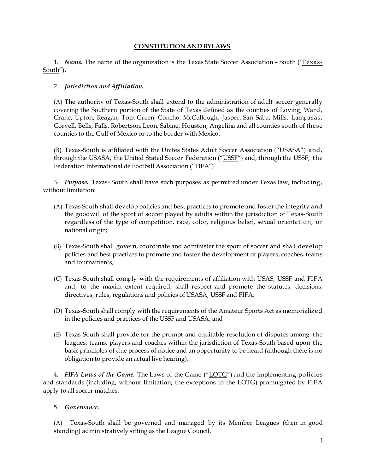# **CONSTITUTION AND BYLAWS**

1. *Name.* The name of the organization is the Texas State Soccer Association – South ('Texas-South").

### 2. *Jurisdiction and Affiliation.*

(A) The authority of Texas-South shall extend to the administration of adult soccer generally covering the Southern portion of the State of Texas defined as the counties of Loving, Ward, Crane, Upton, Reagan, Tom Green, Concho, McCullough, Jasper, San Saba, Mills, Lampasas, Coryell, Bells, Falls, Robertson, Leon, Sabine, Houston, Angelina and all counties south of these counties to the Gulf of Mexico or to the border with Mexico.

(B) Texas-South is affiliated with the Unites States Adult Soccer Association ("USASA") and, through the USASA, the United Stated Soccer Federation ("USSF") and, through the USSF, the Federation International de Football Association ("FIFA")

3. *Purpose.* Texas- South shall have such purposes as permitted under Texas law, including, without limitation:

- (A) Texas South shall develop policies and best practices to promote and fosterthe integrity and the goodwill of the sport of soccer played by adults within the jurisdiction of Texas-South regardless of the type of competition, race, color, religious belief, sexual orientation, or national origin;
- (B) Texas-South shall govern, coordinate and administer the sport of soccer and shall develop policies and best practices to promote and foster the development of players, coaches, teams and tournaments;
- (C) Texas-South shall comply with the requirements of affiliation with USAS, USSF and FIFA and, to the maxim extent required, shall respect and promote the statutes, decisions, directives, rules, regulations and policies of USASA, USSF and FIFA;
- (D) Texas-South shall comply with the requirements of the Amateur Sports Act as memorialized in the policies and practices of the USSF and USASA; and
- (E) Texas-South shall provide for the prompt and equitable resolution of disputes among the leagues, teams, players and coaches within the jurisdiction of Texas-South based upon the basic principles of due process of notice and an opportunity to be heard (although there is no obligation to provide an actual live hearing).

4. *FIFA Laws of the Game.* The Laws of the Game ("LOTG") and the implementing policies and standards (including, without limitation, the exceptions to the LOTG) promulgated by FIFA apply to all soccer matches.

#### 5. *Governance.*

(A) Texas-South shall be governed and managed by its Member Leagues (then in good standing) administratively sitting as the League Council.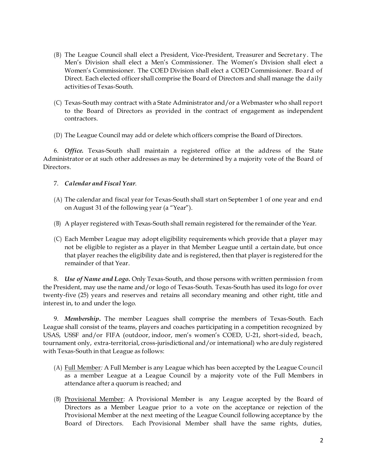- (B) The League Council shall elect a President, Vice-President, Treasurer and Secretary. The Men's Division shall elect a Men's Commissioner. The Women's Division shall elect a Women's Commissioner. The COED Division shall elect a COED Commissioner. Board of Direct. Each elected officer shall comprise the Board of Directors and shall manage the daily activities of Texas-South.
- (C) Texas-South may contract with a State Administrator and/or a Webmaster who shall report to the Board of Directors as provided in the contract of engagement as independent contractors.
- (D) The League Council may add or delete which officers comprise the Board of Directors.

6. *Office.* Texas-South shall maintain a registered office at the address of the State Administrator or at such other addresses as may be determined by a majority vote of the Board of Directors.

### 7. *Calendar and Fiscal Year*.

- (A) The calendar and fiscal year for Texas-South shall start on September 1 of one year and end on August 31 of the following year (a "Year").
- (B) A player registered with Texas-South shall remain registered for the remainder of the Year.
- (C) Each Member League may adopt eligibility requirements which provide that a player may not be eligible to register as a player in that Member League until a certain date, but once that player reaches the eligibility date and is registered, then that player is registered for the remainder of that Year.

8. *Use of Name and Logo.* Only Texas-South, and those persons with written permission from the President, may use the name and/or logo of Texas-South. Texas-South has used its logo for over twenty-five (25) years and reserves and retains all secondary meaning and other right, title and interest in, to and under the logo.

9. *Membership***.** The member Leagues shall comprise the members of Texas-South. Each League shall consist of the teams, players and coaches participating in a competition recognized by USAS, USSF and/or FIFA (outdoor, indoor, men's women's COED, U-21, short-sided, beach, tournament only, extra-territorial, cross-jurisdictional and/or international) who are duly registered with Texas-South in that League as follows:

- (A) Full Member*:* A Full Member is any League which has been accepted by the League Council as a member League at a League Council by a majority vote of the Full Members in attendance after a quorum is reached; and
- (B) Provisional Member: A Provisional Member is any League accepted by the Board of Directors as a Member League prior to a vote on the acceptance or rejection of the Provisional Member at the next meeting of the League Council following acceptance by the Board of Directors. Each Provisional Member shall have the same rights, duties,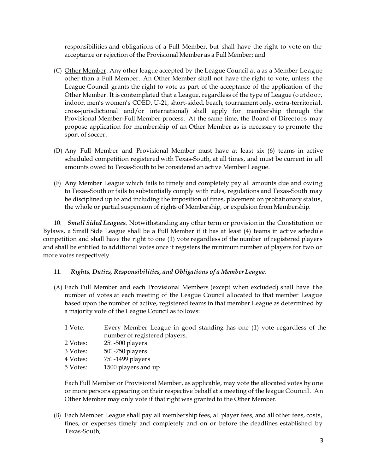responsibilities and obligations of a Full Member, but shall have the right to vote on the acceptance or rejection of the Provisional Member as a Full Member; and

- (C) Other Member. Any other league accepted by the League Council at a as a Member League other than a Full Member. An Other Member shall not have the right to vote, unless the League Council grants the right to vote as part of the acceptance of the application of the Other Member. It is contemplated that a League, regardless of the type of League (outdoor, indoor, men's women's COED, U-21, short-sided, beach, tournament only, extra-territorial, cross-jurisdictional and/or international) shall apply for membership through the Provisional Member-Full Member process. At the same time, the Board of Directors may propose application for membership of an Other Member as is necessary to promote the sport of soccer.
- (D) Any Full Member and Provisional Member must have at least six (6) teams in active scheduled competition registered with Texas-South, at all times, and must be current in all amounts owed to Texas-South to be considered an active Member League.
- (E) Any Member League which fails to timely and completely pay all amounts due and owing to Texas-South or fails to substantially comply with rules, regulations and Texas-South may be disciplined up to and including the imposition of fines, placement on probationary status, the whole or partial suspension of rights of Membership, or expulsion from Membership.

10. *Small Sided Leagues.* Notwithstanding any other term or provision in the Constitution or Bylaws, a Small Side League shall be a Full Member if it has at least (4) teams in active schedule competition and shall have the right to one (1) vote regardless of the number of registered players and shall be entitled to additional votes once it registers the minimum number of players for two or more votes respectively.

# 11. *Rights, Duties, Responsibilities, and Obligations of a Member League.*

- (A) Each Full Member and each Provisional Members (except when excluded) shall have the number of votes at each meeting of the League Council allocated to that member League based upon the number of active, registered teams in that member League as determined by a majority vote of the League Council as follows:
	- 1 Vote: Every Member League in good standing has one (1) vote regardless of the number of registered players.
	- 2 Votes: 251-500 players 3 Votes: 501-750 players
	- 4 Votes: 751-1499 players
	- 5 Votes: 1500 players and up

Each Full Member or Provisional Member, as applicable, may vote the allocated votes by one or more persons appearing on their respective behalf at a meeting of the league Council. An Other Member may only vote if thatright was granted to the Other Member.

(B) Each Member League shall pay all membership fees, all player fees, and all other fees, costs, fines, or expenses timely and completely and on or before the deadlines established by Texas-South;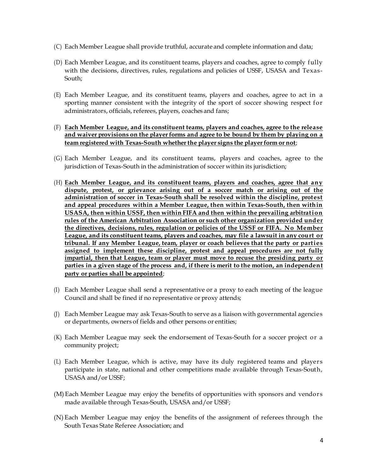- (C) Each Member League shall provide truthful, accurate and complete information and data;
- (D) Each Member League, and its constituent teams, players and coaches, agree to comply fully with the decisions, directives, rules, regulations and policies of USSF, USASA and Texas-South;
- (E) Each Member League, and its constituent teams, players and coaches, agree to act in a sporting manner consistent with the integrity of the sport of soccer showing respect for administrators, officials, referees, players, coaches and fans;

### (F) **Each Member League, and its constituent teams, players and coaches, agree to the release and waiver provisions on the playerforms and agree to be bound by them by playing on a team registered with Texas-South whetherthe player signs the playerform or not**;

- (G) Each Member League, and its constituent teams, players and coaches, agree to the jurisdiction of Texas-South in the administration of soccer within its jurisdiction;
- (H) **Each Member League, and its constituent teams, players and coaches, agree that any dispute, protest, or grievance arising out of a soccer match or arising out of the administration of soccer in Texas-South shall be resolved within the discipline, protest and appeal procedures within a Member League, then within Texas-South, then within USASA, then within USSF, then within FIFA and then within the prevailing arbitration rules of the American Arbitration Association or such other organization provided under the directives, decisions, rules, regulation or policies of the USSF or FIFA. No Member League, and its constituent teams, players and coaches, may file a lawsuit in any court or tribunal. If any Member League, team, player or coach believes that the party or parties assigned to implement these discipline, protest and appeal procedures are not fully impartial, then that League, team or player must move to recuse the presiding party or parties in a given stage of the process and, ifthere is merit to the motion, an independent party or parties shall be appointed**;
- (I) Each Member League shall send a representative or a proxy to each meeting of the league Council and shall be fined if no representative or proxy attends;
- (J) Each Member League may ask Texas-South to serve as a liaison with governmental agencies or departments, owners of fields and other persons or entities;
- (K) Each Member League may seek the endorsement of Texas-South for a soccer project or a community project;
- (L) Each Member League, which is active, may have its duly registered teams and players participate in state, national and other competitions made available through Texas-South, USASA and/or USSF;
- (M) Each Member League may enjoy the benefits of opportunities with sponsors and vendors made available through Texas-South, USASA and/or USSF;
- (N) Each Member League may enjoy the benefits of the assignment of referees through the South Texas State Referee Association; and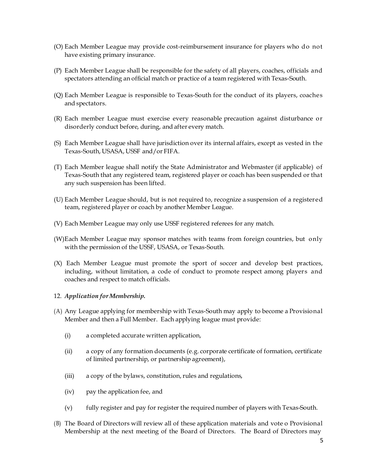- (O) Each Member League may provide cost-reimbursement insurance for players who do not have existing primary insurance.
- (P) Each Member League shall be responsible for the safety of all players, coaches, officials and spectators attending an official match or practice of a team registered with Texas-South.
- (Q) Each Member League is responsible to Texas-South for the conduct of its players, coaches and spectators.
- (R) Each member League must exercise every reasonable precaution against disturbance or disorderly conduct before, during, and after every match.
- (S) Each Member League shall have jurisdiction over its internal affairs, except as vested in the Texas-South, USASA, USSF and/or FIFA.
- (T) Each Member league shall notify the State Administrator and Webmaster (if applicable) of Texas-South that any registered team, registered player or coach has been suspended or that any such suspension has been lifted.
- (U) Each Member League should, but is not required to, recognize a suspension of a registered team, registered player or coach by another Member League.
- (V) Each Member League may only use USSF registered referees for any match.
- (W)Each Member League may sponsor matches with teams from foreign countries, but only with the permission of the USSF, USASA, or Texas-South.
- (X) Each Member League must promote the sport of soccer and develop best practices, including, without limitation, a code of conduct to promote respect among players and coaches and respect to match officials.

#### 12. *Application for Membership.*

- (A) Any League applying for membership with Texas-South may apply to become a Provisional Member and then a Full Member. Each applying league must provide:
	- (i) a completed accurate written application,
	- (ii) a copy of any formation documents (e.g. corporate certificate of formation, certificate of limited partnership, or partnership agreement),
	- (iii) a copy of the bylaws, constitution, rules and regulations,
	- (iv) pay the application fee, and
	- (v) fully register and pay for register the required number of players with Texas-South.
- (B) The Board of Directors will review all of these application materials and vote o Provisional Membership at the next meeting of the Board of Directors. The Board of Directors may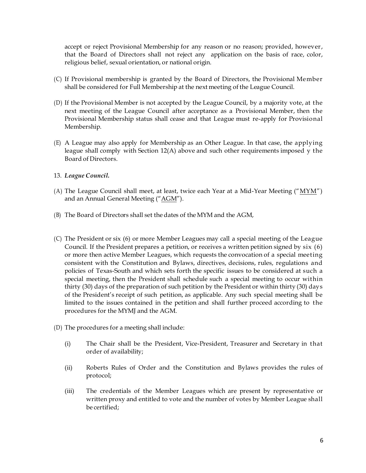accept or reject Provisional Membership for any reason or no reason; provided, however, that the Board of Directors shall not reject any application on the basis of race, color, religious belief, sexual orientation, or national origin.

- (C) If Provisional membership is granted by the Board of Directors, the Provisional Member shall be considered for Full Membership at the next meeting of the League Council.
- (D) If the Provisional Member is not accepted by the League Council, by a majority vote, at the next meeting of the League Council after acceptance as a Provisional Member, then the Provisional Membership status shall cease and that League must re-apply for Provisional Membership.
- (E) A League may also apply for Membership as an Other League. In that case, the applying league shall comply with Section 12(A) above and such other requirements imposed y the Board of Directors.
- 13. *League Council.*
- (A) The League Council shall meet, at least, twice each Year at a Mid-Year Meeting ("MYM") and an Annual General Meeting ("AGM").
- (B) The Board of Directors shall set the dates of the MYM and the AGM,
- (C) The President or six (6) or more Member Leagues may call a special meeting of the League Council. If the President prepares a petition, or receives a written petition signed by six (6) or more then active Member Leagues, which requests the convocation of a special meeting consistent with the Constitution and Bylaws, directives, decisions, rules, regulations and policies of Texas-South and which sets forth the specific issues to be considered at such a special meeting, then the President shall schedule such a special meeting to occur within thirty (30) days of the preparation of such petition by the President or within thirty (30) days of the President's receipt of such petition, as applicable. Any such special meeting shall be limited to the issues contained in the petition and shall further proceed according to the procedures for the MYMJ and the AGM.
- (D) The procedures for a meeting shall include:
	- (i) The Chair shall be the President, Vice-President, Treasurer and Secretary in that order of availability;
	- (ii) Roberts Rules of Order and the Constitution and Bylaws provides the rules of protocol;
	- (iii) The credentials of the Member Leagues which are present by representative or written proxy and entitled to vote and the number of votes by Member League shall be certified;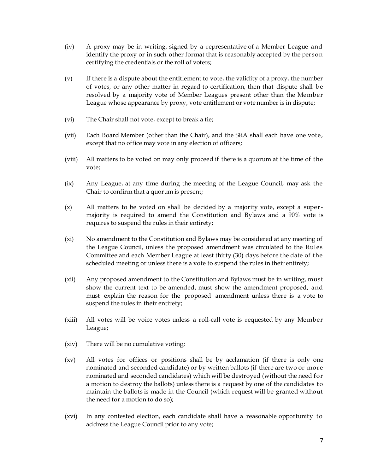- (iv) A proxy may be in writing, signed by a representative of a Member League and identify the proxy or in such other format that is reasonably accepted by the person certifying the credentials or the roll of voters;
- (v) If there is a dispute about the entitlement to vote, the validity of a proxy, the number of votes, or any other matter in regard to certification, then that dispute shall be resolved by a majority vote of Member Leagues present other than the Member League whose appearance by proxy, vote entitlement or vote number is in dispute;
- (vi) The Chair shall not vote, except to break a tie;
- (vii) Each Board Member (other than the Chair), and the SRA shall each have one vote, except that no office may vote in any election of officers;
- (viii) All matters to be voted on may only proceed if there is a quorum at the time of the vote;
- (ix) Any League, at any time during the meeting of the League Council, may ask the Chair to confirm that a quorum is present;
- (x) All matters to be voted on shall be decided by a majority vote, except a supermajority is required to amend the Constitution and Bylaws and a 90% vote is requires to suspend the rules in their entirety;
- (xi) No amendment to the Constitution and Bylaws may be considered at any meeting of the League Council, unless the proposed amendment was circulated to the Rules Committee and each Member League at least thirty (30) days before the date of the scheduled meeting or unless there is a vote to suspend the rules in their entirety;
- (xii) Any proposed amendment to the Constitution and Bylaws must be in writing, must show the current text to be amended, must show the amendment proposed, and must explain the reason for the proposed amendment unless there is a vote to suspend the rules in their entirety;
- (xiii) All votes will be voice votes unless a roll-call vote is requested by any Member League;
- (xiv) There will be no cumulative voting;
- (xv) All votes for offices or positions shall be by acclamation (if there is only one nominated and seconded candidate) or by written ballots (if there are two or more nominated and seconded candidates) which will be destroyed (without the need for a motion to destroy the ballots) unless there is a request by one of the candidates to maintain the ballots is made in the Council (which request will be granted without the need for a motion to do so);
- (xvi) In any contested election, each candidate shall have a reasonable opportunity to address the League Council prior to any vote;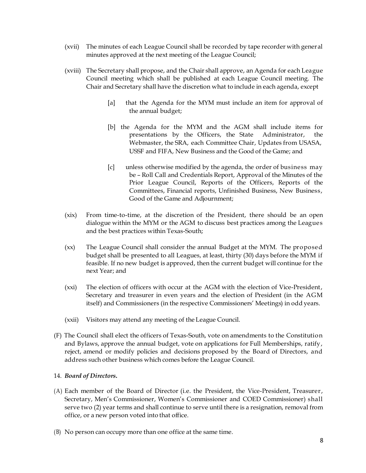- (xvii) The minutes of each League Council shall be recorded by tape recorder with general minutes approved at the next meeting of the League Council;
- (xviii) The Secretary shall propose, and the Chair shall approve, an Agenda for each League Council meeting which shall be published at each League Council meeting. The Chair and Secretary shall have the discretion what to include in each agenda, except
	- [a] that the Agenda for the MYM must include an item for approval of the annual budget;
	- [b] the Agenda for the MYM and the AGM shall include items for presentations by the Officers, the State Administrator, the Webmaster, the SRA, each Committee Chair, Updates from USASA, USSF and FIFA, New Business and the Good of the Game; and
	- [c] unless otherwise modified by the agenda, the order of business may be – Roll Call and Credentials Report, Approval of the Minutes of the Prior League Council, Reports of the Officers, Reports of the Committees, Financial reports, Unfinished Business, New Business, Good of the Game and Adjournment;
- (xix) From time-to-time, at the discretion of the President, there should be an open dialogue within the MYM or the AGM to discuss best practices among the Leagues and the best practices within Texas-South;
- (xx) The League Council shall consider the annual Budget at the MYM. The proposed budget shall be presented to all Leagues, at least, thirty (30) days before the MYM if feasible. If no new budget is approved, then the current budget will continue for the next Year; and
- (xxi) The election of officers with occur at the AGM with the election of Vice-President, Secretary and treasurer in even years and the election of President (in the AGM itself) and Commissioners (in the respective Commissioners' Meetings) in odd years.
- (xxii) Visitors may attend any meeting of the League Council.
- (F) The Council shall elect the officers of Texas-South, vote on amendments to the Constitution and Bylaws, approve the annual budget, vote on applications for Full Memberships, ratify, reject, amend or modify policies and decisions proposed by the Board of Directors, and address such other business which comes before the League Council.

#### 14. *Board of Directors***.**

- (A) Each member of the Board of Director (i.e. the President, the Vice-President, Treasurer, Secretary, Men's Commissioner, Women's Commissioner and COED Commissioner) shall serve two (2) year terms and shall continue to serve until there is a resignation, removal from office, or a new person voted into that office.
- (B) No person can occupy more than one office at the same time.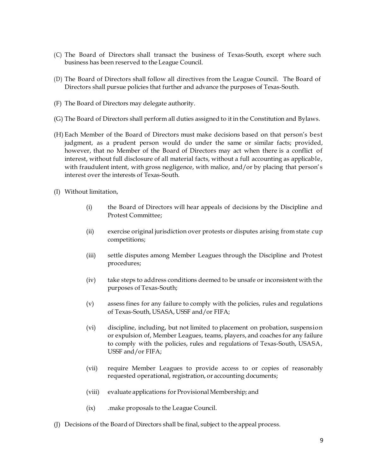- (C) The Board of Directors shall transact the business of Texas-South, except where such business has been reserved to the League Council.
- (D) The Board of Directors shall follow all directives from the League Council. The Board of Directors shall pursue policies that further and advance the purposes of Texas-South.
- (F) The Board of Directors may delegate authority.
- (G) The Board of Directors shall perform all duties assigned to it in the Constitution and Bylaws.
- (H) Each Member of the Board of Directors must make decisions based on that person's best judgment, as a prudent person would do under the same or similar facts; provided, however, that no Member of the Board of Directors may act when there is a conflict of interest, without full disclosure of all material facts, without a full accounting as applicable, with fraudulent intent, with gross negligence, with malice, and/or by placing that person's interest over the interests of Texas-South.
- (I) Without limitation,
	- (i) the Board of Directors will hear appeals of decisions by the Discipline and Protest Committee;
	- (ii) exercise original jurisdiction over protests or disputes arising from state cup competitions;
	- (iii) settle disputes among Member Leagues through the Discipline and Protest procedures;
	- (iv) take steps to address conditions deemed to be unsafe or inconsistent with the purposes of Texas-South;
	- (v) assess fines for any failure to comply with the policies, rules and regulations of Texas-South, USASA, USSF and/or FIFA;
	- (vi) discipline, including, but not limited to placement on probation, suspension or expulsion of, Member Leagues, teams, players, and coaches for any failure to comply with the policies, rules and regulations of Texas-South, USASA, USSF and/or FIFA;
	- (vii) require Member Leagues to provide access to or copies of reasonably requested operational, registration, or accounting documents;
	- (viii) evaluate applications for Provisional Membership; and
	- (ix) .make proposals to the League Council.
- (J) Decisions of the Board of Directors shall be final, subject to the appeal process.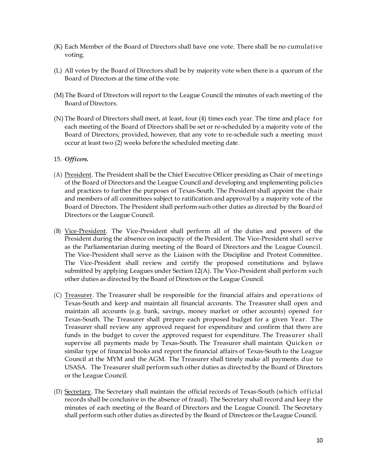- (K) Each Member of the Board of Directors shall have one vote. There shall be no cumulative voting.
- (L) All votes by the Board of Directors shall be by majority vote when there is a quorum of the Board of Directors at the time of the vote.
- (M) The Board of Directors will report to the League Council the minutes of each meeting of the Board of Directors.
- (N) The Board of Directors shall meet, at least, four (4) times each year. The time and place for each meeting of the Board of Directors shall be set or re-scheduled by a majority vote of the Board of Directors; provided, however, that any vote to re-schedule such a meeting must occur at least two (2) weeks before the scheduled meeting date.
- 15. *Officers.*
- (A) President. The President shall be the Chief Executive Officer presiding as Chair of meetings of the Board of Directors and the League Council and developing and implementing policies and practices to further the purposes of Texas-South. The President shall appoint the chair and members of all committees subject to ratification and approval by a majority vote of the Board of Directors. The President shall perform such other duties as directed by the Board of Directors or the League Council.
- (B) Vice-President. The Vice-President shall perform all of the duties and powers of the President during the absence on incapacity of the President. The Vice-President shall serve as the Parliamentarian during meeting of the Board of Directors and the League Council. The Vice-President shall serve as the Liaison with the Discipline and Protest Committee. The Vice-President shall review and certify the proposed constitutions and bylaws submitted by applying Leagues under Section 12(A). The Vice-President shall perform such other duties as directed by the Board of Directors orthe League Council.
- (C) Treasurer. The Treasurer shall be responsible for the financial affairs and operations of Texas-South and keep and maintain all financial accounts. The Treasurer shall open and maintain all accounts (e.g. bank, savings, money market or other accounts) opened for Texas-South. The Treasurer shall prepare each proposed budget for a given Year. The Treasurer shall review any approved request for expenditure and confirm that there are funds in the budget to cover the approved request for expenditure. The Treasurer shall supervise all payments made by Texas-South. The Treasurer shall maintain Quicken or similar type of financial books and report the financial affairs of Texas-South to the League Council at the MYM and the AGM. The Treasurer shall timely make all payments due to USASA. The Treasurer shall perform such other duties as directed by the Board of Directors or the League Council.
- (D) Secretary. The Secretary shall maintain the official records of Texas-South (which official records shall be conclusive in the absence of fraud). The Secretary shall record and keep the minutes of each meeting of the Board of Directors and the League Council. The Secretary shall perform such other duties as directed by the Board of Directors or the League Council.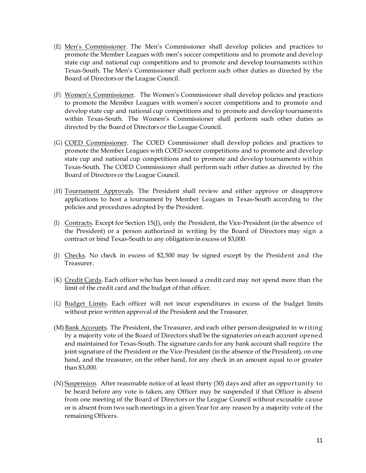- (E) Men's Commissioner. The Men's Commissioner shall develop policies and practices to promote the Member Leagues with men's soccer competitions and to promote and develop state cup and national cup competitions and to promote and develop tournaments within Texas-South. The Men's Commissioner shall perform such other duties as directed by the Board of Directors or the League Council.
- (F) Women's Commissioner. The Women's Commissioner shall develop policies and practices to promote the Member Leagues with women's soccer competitions and to promote and develop state cup and national cup competitions and to promote and develop tournaments within Texas-South. The Women's Commissioner shall perform such other duties as directed by the Board of Directors or the League Council.
- (G) COED Commissioner. The COED Commissioner shall develop policies and practices to promote the Member Leagues with COED soccer competitions and to promote and develop state cup and national cup competitions and to promote and develop tournaments within Texas-South. The COED Commissioner shall perform such other duties as directed by the Board of Directors or the League Council.
- (H) Tournament Approvals. The President shall review and either approve or disapprove applications to host a tournament by Member Leagues in Texas-South according to the policies and procedures adopted by the President.
- (I) Contracts. Except for Section 15(J), only the President, the Vice-President (in the absence of the President) or a person authorized in writing by the Board of Directors may sign a contract or bind Texas-South to any obligation in excess of \$3,000.
- (J) Checks. No check in excess of \$2,500 may be signed except by the President and the Treasurer.
- (K) Credit Cards. Each officer who has been issued a credit card may not spend more than the limit of the credit card and the budget of that officer.
- (L) Budget Limits. Each officer will not incur expenditures in excess of the budget limits without prior written approval of the President and the Treasurer.
- (M) Bank Accounts. The President, the Treasurer, and each other person designated in writing by a majority vote of the Board of Directors shall be the signatories on each account opened and maintained for Texas-South. The signature cards for any bank account shall require the joint signature of the President or the Vice-President (in the absence of the President), on one hand, and the treasurer, on the other hand, for any check in an amount equal to or greater than \$3,000.
- (N) Suspension. After reasonable notice of at least thirty (30) days and after an opportunity to be heard before any vote is taken, any Officer may be suspended if that Officer is absent from one meeting of the Board of Directors or the League Council without excusable cause or is absent from two such meetings in a given Year for any reason by a majority vote of the remaining Officers.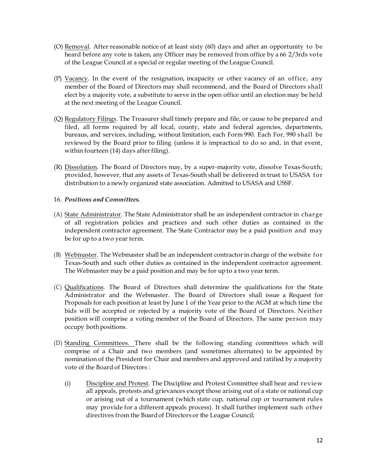- (O) Removal. After reasonable notice of at least sixty (60) days and after an opportunity to be heard before any vote is taken, any Officer may be removed from office by a 66 2/3rds vote of the League Council at a special or regular meeting of the League Council.
- (P) Vacancy. In the event of the resignation, incapacity or other vacancy of an office, any member of the Board of Directors may shall recommend, and the Board of Directors shall elect by a majority vote, a substitute to serve in the open office until an election may be held at the next meeting of the League Council.
- (Q) Regulatory Filings. The Treasurer shall timely prepare and file, or cause to be prepared and filed, all forms required by all local, county, state and federal agencies, departments, bureaus, and services, including, without limitation, each Form 990. Each For, 990 shall be reviewed by the Board prior to filing (unless it is impractical to do so and, in that event, within fourteen  $(14)$  days after filing).
- (R) Dissolution. The Board of Directors may, by a super-majority vote, dissolve Texas-South; provided, however, that any assets of Texas-South shall be delivered in trust to USASA for distribution to a newly organized state association. Admitted to USASA and USSF.

### 16. *Positions and Committees.*

- (A) State Administrator. The State Administrator shall be an independent contractorin charge of all registration policies and practices and such other duties as contained in the independent contractor agreement. The State Contractor may be a paid position and may be for up to a two year term.
- $(B)$  Webmaster. The Webmaster shall be an independent contractor in charge of the website for Texas-South and such other duties as contained in the independent contractor agreement. The Webmaster may be a paid position and may be for up to a two year term.
- (C) Qualifications. The Board of Directors shall determine the qualifications for the State Administrator and the Webmaster. The Board of Directors shall issue a Request for Proposals for each position at least by June 1 of the Year prior to the AGM at which time the bids will be accepted or rejected by a majority vote of the Board of Directors. Neither position will comprise a voting member of the Board of Directors. The same person may occupy bothpositions.
- (D) Standing Committees. There shall be the following standing committees which will comprise of a Chair and two members (and sometimes alternates) to be appointed by nomination of the President for Chair and members and approved and ratified by a majority vote of the Board of Directors :
	- (i) Discipline and Protest. The Discipline and Protest Committee shall hear and review all appeals, protests and grievances except those arising out of a state or national cup or arising out of a tournament (which state cup, national cup or tournament rules may provide for a different appeals process). It shall further implement such other directives from the Boardof Directors or the League Council;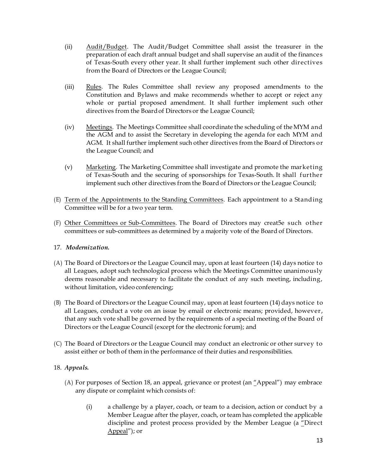- (ii) Audit/Budget. The Audit/Budget Committee shall assist the treasurer in the preparation of each draft annual budget and shall supervise an audit of the finances of Texas-South every other year. It shall further implement such other directives from the Board of Directors or the League Council;
- (iii) Rules. The Rules Committee shall review any proposed amendments to the Constitution and Bylaws and make recommends whether to accept or reject any whole or partial proposed amendment. It shall further implement such other directives from the Boardof Directors or the League Council;
- (iv) Meetings. The Meetings Committee shall coordinate the scheduling of the MYM and the AGM and to assist the Secretary in developing the agenda for each MYM and AGM. It shall further implement such other directives from the Board of Directors or the League Council; and
- (v) Marketing. The Marketing Committee shall investigate and promote the marketing of Texas-South and the securing of sponsorships for Texas-South. It shall further implement such other directives from the Board of Directors or the League Council;
- (E) Term of the Appointments to the Standing Committees. Each appointment to a Standing Committee will be for a two year term.
- (F) Other Committees or Sub-Committees. The Board of Directors may creat5e such other committees or sub-committees as determined by a majority vote of the Board of Directors.

# 17. *Modernization.*

- (A) The Board of Directors or the League Council may, upon at least fourteen (14) days notice to all Leagues, adopt such technological process which the Meetings Committee unanimously deems reasonable and necessary to facilitate the conduct of any such meeting, including, without limitation, video conferencing;
- (B) The Board of Directors or the League Council may, upon at least fourteen (14) days notice to all Leagues, conduct a vote on an issue by email or electronic means; provided, however, that any such vote shall be governed by the requirements of a special meeting of the Board of Directors or the League Council (except for the electronic forum); and
- (C) The Board of Directors or the League Council may conduct an electronic or other survey to assist either or both of them in the performance of their duties and responsibilities.

# 18. *Appeals.*

- (A) For purposes of Section 18, an appeal, grievance or protest (an "Appeal") may embrace any dispute or complaint which consists of:
	- (i) a challenge by a player, coach, or team to a decision, action or conduct by a Member League after the player, coach, or team has completed the applicable discipline and protest process provided by the Member League (a "Direct Appeal"); or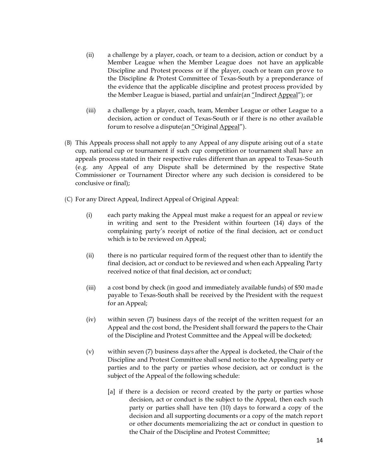- (ii) a challenge by a player, coach, or team to a decision, action or conduct by a Member League when the Member League does not have an applicable Discipline and Protest process or if the player, coach or team can prove to the Discipline & Protest Committee of Texas-South by a preponderance of the evidence that the applicable discipline and protest process provided by the Member League is biased, partial and unfair(an "Indirect Appeal"); or
- (iii) a challenge by a player, coach, team, Member League or other League to a decision, action or conduct of Texas-South or if there is no other available forum to resolve a dispute(an "Original Appeal").
- (B) This Appeals process shall not apply to any Appeal of any dispute arising out of a state cup, national cup or tournament if such cup competition or tournament shall have an appeals process stated in their respective rules different than an appeal to Texas-South (e.g. any Appeal of any Dispute shall be determined by the respective State Commissioner or Tournament Director where any such decision is considered to be conclusive or final);
- (C) For any Direct Appeal, Indirect Appeal of Original Appeal:
	- (i) each party making the Appeal must make a request for an appeal or review in writing and sent to the President within fourteen (14) days of the complaining party's receipt of notice of the final decision, act or conduct which is to be reviewed on Appeal;
	- (ii) there is no particular required form of the request other than to identify the final decision, act or conduct to be reviewed and when each Appealing Party received notice of that final decision, act or conduct;
	- (iii) a cost bond by check (in good and immediately available funds) of \$50 made payable to Texas-South shall be received by the President with the request for an Appeal;
	- (iv) within seven (7) business days of the receipt of the written request for an Appeal and the cost bond, the President shall forward the papers to the Chair of the Discipline and Protest Committee and the Appeal will be docketed;
	- (v) within seven (7) business days after the Appeal is docketed, the Chair of the Discipline and Protest Committee shall send notice to the Appealing party or parties and to the party or parties whose decision, act or conduct is the subject of the Appeal of the following schedule:
		- [a] if there is a decision or record created by the party or parties whose decision, act or conduct is the subject to the Appeal, then each such party or parties shall have ten (10) days to forward a copy of the decision and all supporting documents or a copy of the match report or other documents memorializing the act or conduct in question to the Chair of the Discipline and Protest Committee;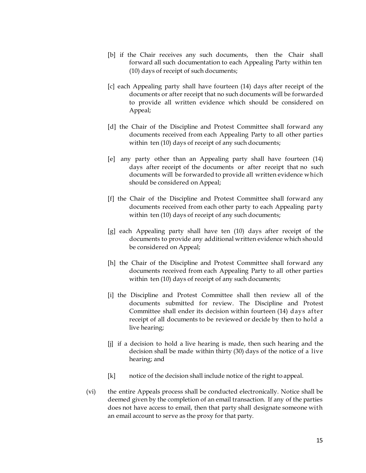- [b] if the Chair receives any such documents, then the Chair shall forward all such documentation to each Appealing Party within ten (10) days of receipt of such documents;
- [c] each Appealing party shall have fourteen (14) days after receipt of the documents or after receipt that no such documents will be forwarded to provide all written evidence which should be considered on Appeal;
- [d] the Chair of the Discipline and Protest Committee shall forward any documents received from each Appealing Party to all other parties within ten (10) days of receipt of any such documents;
- [e] any party other than an Appealing party shall have fourteen (14) days after receipt of the documents or after receipt that no such documents will be forwarded to provide all written evidence which should be considered on Appeal;
- [f] the Chair of the Discipline and Protest Committee shall forward any documents received from each other party to each Appealing party within ten (10) days of receipt of any such documents;
- [g] each Appealing party shall have ten (10) days after receipt of the documents to provide any additional written evidence which should be considered on Appeal;
- [h] the Chair of the Discipline and Protest Committee shall forward any documents received from each Appealing Party to all other parties within ten (10) days of receipt of any such documents;
- [i] the Discipline and Protest Committee shall then review all of the documents submitted for review. The Discipline and Protest Committee shall ender its decision within fourteen (14) days after receipt of all documents to be reviewed or decide by then to hold a live hearing;
- [j] if a decision to hold a live hearing is made, then such hearing and the decision shall be made within thirty (30) days of the notice of a live hearing; and
- [k] notice of the decision shall include notice of the right to appeal.
- (vi) the entire Appeals process shall be conducted electronically. Notice shall be deemed given by the completion of an email transaction. If any of the parties does not have access to email, then that party shall designate someone with an email account to serve as the proxy for that party.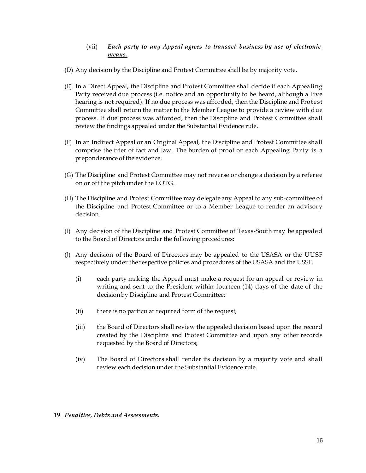### (vii) *Each party to any Appeal agrees to transact business by use of electronic means.*

- (D) Any decision by the Discipline and Protest Committee shall be by majority vote.
- (E) In a Direct Appeal, the Discipline and Protest Committee shall decide if each Appealing Party received due process (i.e. notice and an opportunity to be heard, although a live hearing is not required). If no due process was afforded, then the Discipline and Protest Committee shall return the matter to the Member League to provide a review with due process. If due process was afforded, then the Discipline and Protest Committee shall review the findings appealed under the Substantial Evidence rule.
- (F) In an Indirect Appeal or an Original Appeal, the Discipline and Protest Committee shall comprise the trier of fact and law. The burden of proof on each Appealing Party is a preponderance of the evidence.
- (G) The Discipline and Protest Committee may not reverse or change a decision by a referee on or off the pitch under the LOTG.
- (H) The Discipline and Protest Committee may delegate any Appeal to any sub-committee of the Discipline and Protest Committee or to a Member League to render an advisory decision.
- (I) Any decision of the Discipline and Protest Committee of Texas-South may be appealed to the Board of Directors under the following procedures:
- (J) Any decision of the Board of Directors may be appealed to the USASA or the UUSF respectively under the respective policies and procedures of the USASA and the USSF.
	- (i) each party making the Appeal must make a request for an appeal or review in writing and sent to the President within fourteen (14) days of the date of the decisionby Discipline and Protest Committee;
	- (ii) there is no particular required form of the request;
	- (iii) the Board of Directors shall review the appealed decision based upon the record created by the Discipline and Protest Committee and upon any other records requested by the Board of Directors;
	- (iv) The Board of Directors shall render its decision by a majority vote and shall review each decision under the Substantial Evidence rule.

#### 19. *Penalties, Debts and Assessments.*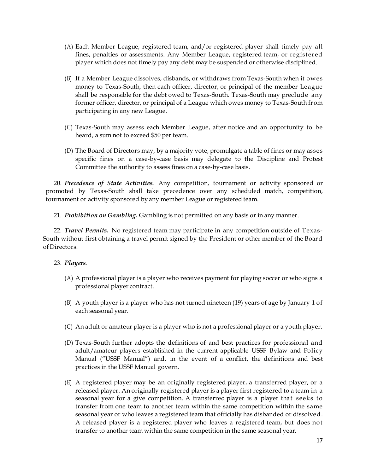- (A) Each Member League, registered team, and/or registered player shall timely pay all fines, penalties or assessments. Any Member League, registered team, or registered player which does not timely pay any debt may be suspended or otherwise disciplined.
- (B) If a Member League dissolves, disbands, or withdraws from Texas-South when it owes money to Texas-South, then each officer, director, or principal of the member League shall be responsible for the debt owed to Texas-South. Texas-South may preclude any former officer, director, or principal of a League which owes money to Texas-South from participating in any new League.
- (C) Texas-South may assess each Member League, after notice and an opportunity to be heard, a sum not to exceed \$50 per team.
- (D) The Board of Directors may, by a majority vote, promulgate a table of fines or may asses specific fines on a case-by-case basis may delegate to the Discipline and Protest Committee the authority to assess fines on a case-by-case basis.

20. *Precedence of State Activities.* Any competition, tournament or activity sponsored or promoted by Texas-South shall take precedence over any scheduled match, competition, tournament or activity sponsored by any member League or registered team.

21. *Prohibition on Gambling.* Gambling is not permitted on any basis or in any manner.

22. *Travel Permits.* No registered team may participate in any competition outside of Texas-South without first obtaining a travel permit signed by the President or other member of the Board of Directors.

# 23. *Players.*

- (A) A professional player is a player who receives payment for playing soccer or who signs a professional player contract.
- (B) A youth player is a player who has not turned nineteen (19) years of age by January 1 of each seasonal year.
- (C) An adult or amateur player is a player who is not a professional player or a youth player.
- (D) Texas-South further adopts the definitions of and best practices for professional and adult/amateur players established in the current applicable USSF Bylaw and Policy Manual ("USSF Manual") and, in the event of a conflict, the definitions and best practices in the USSF Manual govern.
- (E) A registered player may be an originally registered player, a transferred player, or a released player. An originally registered player is a player first registered to a team in a seasonal year for a give competition. A transferred player is a player that seeks to transfer from one team to another team within the same competition within the same seasonal year or who leaves a registered team that officially has disbanded or dissolved. A released player is a registered player who leaves a registered team, but does not transfer to another team within the same competition in the same seasonal year.